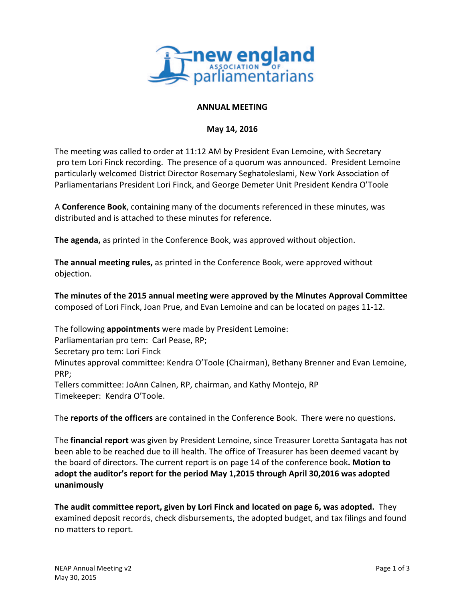

## **ANNUAL MEETING**

## **May 14, 2016**

The meeting was called to order at 11:12 AM by President Evan Lemoine, with Secretary pro tem Lori Finck recording. The presence of a quorum was announced. President Lemoine particularly welcomed District Director Rosemary Seghatoleslami, New York Association of Parliamentarians President Lori Finck, and George Demeter Unit President Kendra O'Toole

A **Conference Book**, containing many of the documents referenced in these minutes, was distributed and is attached to these minutes for reference.

**The agenda,** as printed in the Conference Book, was approved without objection.

**The annual meeting rules,** as printed in the Conference Book, were approved without objection.

**The minutes of the 2015 annual meeting were approved by the Minutes Approval Committee** composed of Lori Finck, Joan Prue, and Evan Lemoine and can be located on pages 11-12.

The following **appointments** were made by President Lemoine:

Parliamentarian pro tem: Carl Pease, RP;

Secretary pro tem: Lori Finck

Minutes approval committee: Kendra O'Toole (Chairman), Bethany Brenner and Evan Lemoine, PRP;

Tellers committee: JoAnn Calnen, RP, chairman, and Kathy Montejo, RP Timekeeper: Kendra O'Toole.

The **reports of the officers** are contained in the Conference Book. There were no questions.

The **financial report** was given by President Lemoine, since Treasurer Loretta Santagata has not been able to be reached due to ill health. The office of Treasurer has been deemed vacant by the board of directors. The current report is on page 14 of the conference book. Motion to adopt the auditor's report for the period May 1,2015 through April 30,2016 was adopted **unanimously**

**The audit committee report, given by Lori Finck and located on page 6, was adopted.** They examined deposit records, check disbursements, the adopted budget, and tax filings and found no matters to report.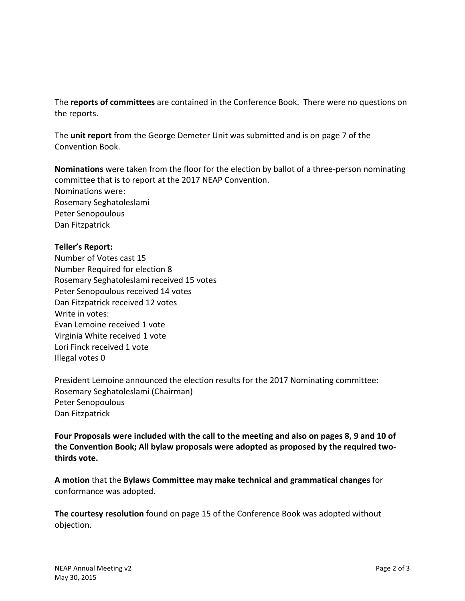The **reports of committees** are contained in the Conference Book. There were no questions on the reports.

The **unit report** from the George Demeter Unit was submitted and is on page 7 of the Convention Book.

**Nominations** were taken from the floor for the election by ballot of a three-person nominating committee that is to report at the 2017 NEAP Convention. Nominations were: Rosemary Seghatoleslami Peter Senopoulous Dan Fitzpatrick

## **Teller's Report:**

Number of Votes cast 15 Number Required for election 8 Rosemary Seghatoleslami received 15 votes Peter Senopoulous received 14 votes Dan Fitzpatrick received 12 votes Write in votes: Evan Lemoine received 1 vote Virginia White received 1 vote Lori Finck received 1 vote Illegal votes 0

President Lemoine announced the election results for the 2017 Nominating committee: Rosemary Seghatoleslami (Chairman) Peter Senopoulous Dan Fitzpatrick

**Four Proposals were included with the call to the meeting and also on pages 8, 9 and 10 of** the Convention Book; All bylaw proposals were adopted as proposed by the required twothirds vote.

**A** motion that the Bylaws Committee may make technical and grammatical changes for conformance was adopted.

**The courtesy resolution** found on page 15 of the Conference Book was adopted without objection.